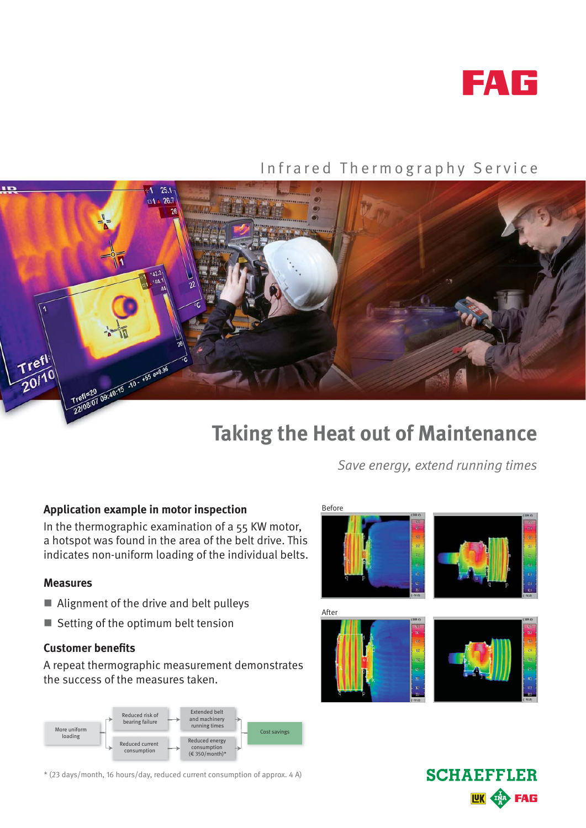

## Infrared Thermography Service



# **Taking the Heat out of Maintenance**

*Save energy, extend running times*

#### **Application example in motor inspection**

In the thermographic examination of a 55 KW motor, a hotspot was found in the area of the belt drive. This indicates non-uniform loading of the individual belts.

#### **Measures**

- Alignment of the drive and belt pulleys
- Setting of the optimum belt tension

#### **Customer benefits**

A repeat thermographic measurement demonstrates the success of the measures taken.



\* (23 days/month, 16 hours/day, reduced current consumption of approx. 4 A)